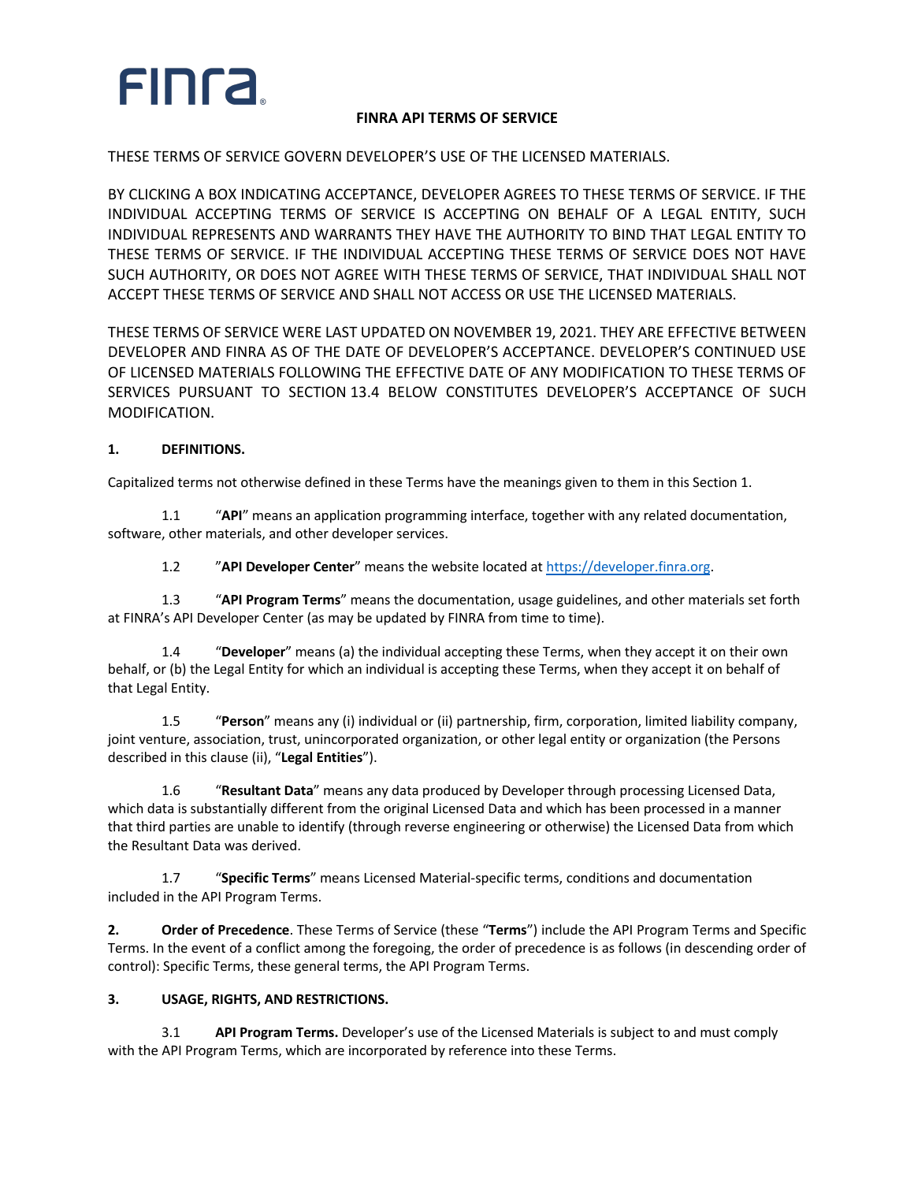# **FING**

## **FINRA API TERMS OF SERVICE**

THESE TERMS OF SERVICE GOVERN DEVELOPER'S USE OF THE LICENSED MATERIALS.

BY CLICKING A BOX INDICATING ACCEPTANCE, DEVELOPER AGREES TO THESE TERMS OF SERVICE. IF THE INDIVIDUAL ACCEPTING TERMS OF SERVICE IS ACCEPTING ON BEHALF OF A LEGAL ENTITY, SUCH INDIVIDUAL REPRESENTS AND WARRANTS THEY HAVE THE AUTHORITY TO BIND THAT LEGAL ENTITY TO THESE TERMS OF SERVICE. IF THE INDIVIDUAL ACCEPTING THESE TERMS OF SERVICE DOES NOT HAVE SUCH AUTHORITY, OR DOES NOT AGREE WITH THESE TERMS OF SERVICE, THAT INDIVIDUAL SHALL NOT ACCEPT THESE TERMS OF SERVICE AND SHALL NOT ACCESS OR USE THE LICENSED MATERIALS.

THESE TERMS OF SERVICE WERE LAST UPDATED ON NOVEMBER 19, 2021. THEY ARE EFFECTIVE BETWEEN DEVELOPER AND FINRA AS OF THE DATE OF DEVELOPER'S ACCEPTANCE. DEVELOPER'S CONTINUED USE OF LICENSED MATERIALS FOLLOWING THE EFFECTIVE DATE OF ANY MODIFICATION TO THESE TERMS OF SERVICES PURSUANT TO SECTION 13.4 BELOW CONSTITUTES DEVELOPER'S ACCEPTANCE OF SUCH MODIFICATION.

### **1. DEFINITIONS.**

Capitalized terms not otherwise defined in these Terms have the meanings given to them in this Section 1.

1.1 "**API**" means an application programming interface, together with any related documentation, software, other materials, and other developer services.

1.2 "**API Developer Center**" means the website located at https://developer.finra.org.

1.3 "**API Program Terms**" means the documentation, usage guidelines, and other materials set forth at FINRA's API Developer Center (as may be updated by FINRA from time to time).

1.4 "**Developer**" means (a) the individual accepting these Terms, when they accept it on their own behalf, or (b) the Legal Entity for which an individual is accepting these Terms, when they accept it on behalf of that Legal Entity.

1.5 "**Person**" means any (i) individual or (ii) partnership, firm, corporation, limited liability company, joint venture, association, trust, unincorporated organization, or other legal entity or organization (the Persons described in this clause (ii), "**Legal Entities**").

1.6 "**Resultant Data**" means any data produced by Developer through processing Licensed Data, which data is substantially different from the original Licensed Data and which has been processed in a manner that third parties are unable to identify (through reverse engineering or otherwise) the Licensed Data from which the Resultant Data was derived.

1.7 "**Specific Terms**" means Licensed Material-specific terms, conditions and documentation included in the API Program Terms.

**2. Order of Precedence**. These Terms of Service (these "**Terms**") include the API Program Terms and Specific Terms. In the event of a conflict among the foregoing, the order of precedence is as follows (in descending order of control): Specific Terms, these general terms, the API Program Terms.

### **3. USAGE, RIGHTS, AND RESTRICTIONS.**

3.1 **API Program Terms.** Developer's use of the Licensed Materials is subject to and must comply with the API Program Terms, which are incorporated by reference into these Terms.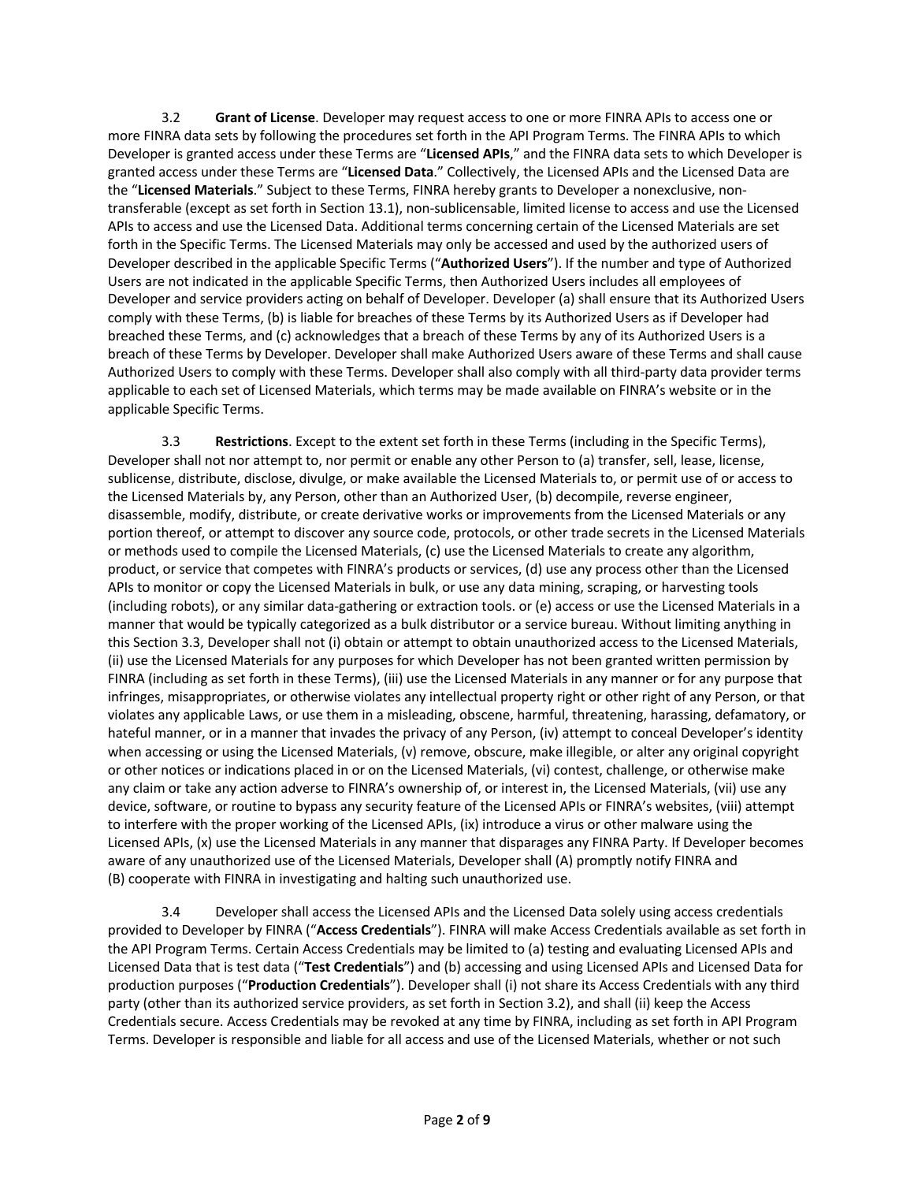3.2 **Grant of License**. Developer may request access to one or more FINRA APIs to access one or more FINRA data sets by following the procedures set forth in the API Program Terms. The FINRA APIs to which Developer is granted access under these Terms are "**Licensed APIs**," and the FINRA data sets to which Developer is granted access under these Terms are "**Licensed Data**." Collectively, the Licensed APIs and the Licensed Data are the "**Licensed Materials**." Subject to these Terms, FINRA hereby grants to Developer a nonexclusive, nontransferable (except as set forth in Section 13.1), non-sublicensable, limited license to access and use the Licensed APIs to access and use the Licensed Data. Additional terms concerning certain of the Licensed Materials are set forth in the Specific Terms. The Licensed Materials may only be accessed and used by the authorized users of Developer described in the applicable Specific Terms ("**Authorized Users**"). If the number and type of Authorized Users are not indicated in the applicable Specific Terms, then Authorized Users includes all employees of Developer and service providers acting on behalf of Developer. Developer (a) shall ensure that its Authorized Users comply with these Terms, (b) is liable for breaches of these Terms by its Authorized Users as if Developer had breached these Terms, and (c) acknowledges that a breach of these Terms by any of its Authorized Users is a breach of these Terms by Developer. Developer shall make Authorized Users aware of these Terms and shall cause Authorized Users to comply with these Terms. Developer shall also comply with all third-party data provider terms applicable to each set of Licensed Materials, which terms may be made available on FINRA's website or in the applicable Specific Terms.

3.3 **Restrictions**. Except to the extent set forth in these Terms (including in the Specific Terms), Developer shall not nor attempt to, nor permit or enable any other Person to (a) transfer, sell, lease, license, sublicense, distribute, disclose, divulge, or make available the Licensed Materials to, or permit use of or access to the Licensed Materials by, any Person, other than an Authorized User, (b) decompile, reverse engineer, disassemble, modify, distribute, or create derivative works or improvements from the Licensed Materials or any portion thereof, or attempt to discover any source code, protocols, or other trade secrets in the Licensed Materials or methods used to compile the Licensed Materials, (c) use the Licensed Materials to create any algorithm, product, or service that competes with FINRA's products or services, (d) use any process other than the Licensed APIs to monitor or copy the Licensed Materials in bulk, or use any data mining, scraping, or harvesting tools (including robots), or any similar data-gathering or extraction tools. or (e) access or use the Licensed Materials in a manner that would be typically categorized as a bulk distributor or a service bureau. Without limiting anything in this Section 3.3, Developer shall not (i) obtain or attempt to obtain unauthorized access to the Licensed Materials, (ii) use the Licensed Materials for any purposes for which Developer has not been granted written permission by FINRA (including as set forth in these Terms), (iii) use the Licensed Materials in any manner or for any purpose that infringes, misappropriates, or otherwise violates any intellectual property right or other right of any Person, or that violates any applicable Laws, or use them in a misleading, obscene, harmful, threatening, harassing, defamatory, or hateful manner, or in a manner that invades the privacy of any Person, (iv) attempt to conceal Developer's identity when accessing or using the Licensed Materials, (v) remove, obscure, make illegible, or alter any original copyright or other notices or indications placed in or on the Licensed Materials, (vi) contest, challenge, or otherwise make any claim or take any action adverse to FINRA's ownership of, or interest in, the Licensed Materials, (vii) use any device, software, or routine to bypass any security feature of the Licensed APIs or FINRA's websites, (viii) attempt to interfere with the proper working of the Licensed APIs, (ix) introduce a virus or other malware using the Licensed APIs, (x) use the Licensed Materials in any manner that disparages any FINRA Party. If Developer becomes aware of any unauthorized use of the Licensed Materials, Developer shall (A) promptly notify FINRA and (B) cooperate with FINRA in investigating and halting such unauthorized use.

3.4 Developer shall access the Licensed APIs and the Licensed Data solely using access credentials provided to Developer by FINRA ("**Access Credentials**"). FINRA will make Access Credentials available as set forth in the API Program Terms. Certain Access Credentials may be limited to (a) testing and evaluating Licensed APIs and Licensed Data that is test data ("**Test Credentials**") and (b) accessing and using Licensed APIs and Licensed Data for production purposes ("**Production Credentials**"). Developer shall (i) not share its Access Credentials with any third party (other than its authorized service providers, as set forth in Section 3.2), and shall (ii) keep the Access Credentials secure. Access Credentials may be revoked at any time by FINRA, including as set forth in API Program Terms. Developer is responsible and liable for all access and use of the Licensed Materials, whether or not such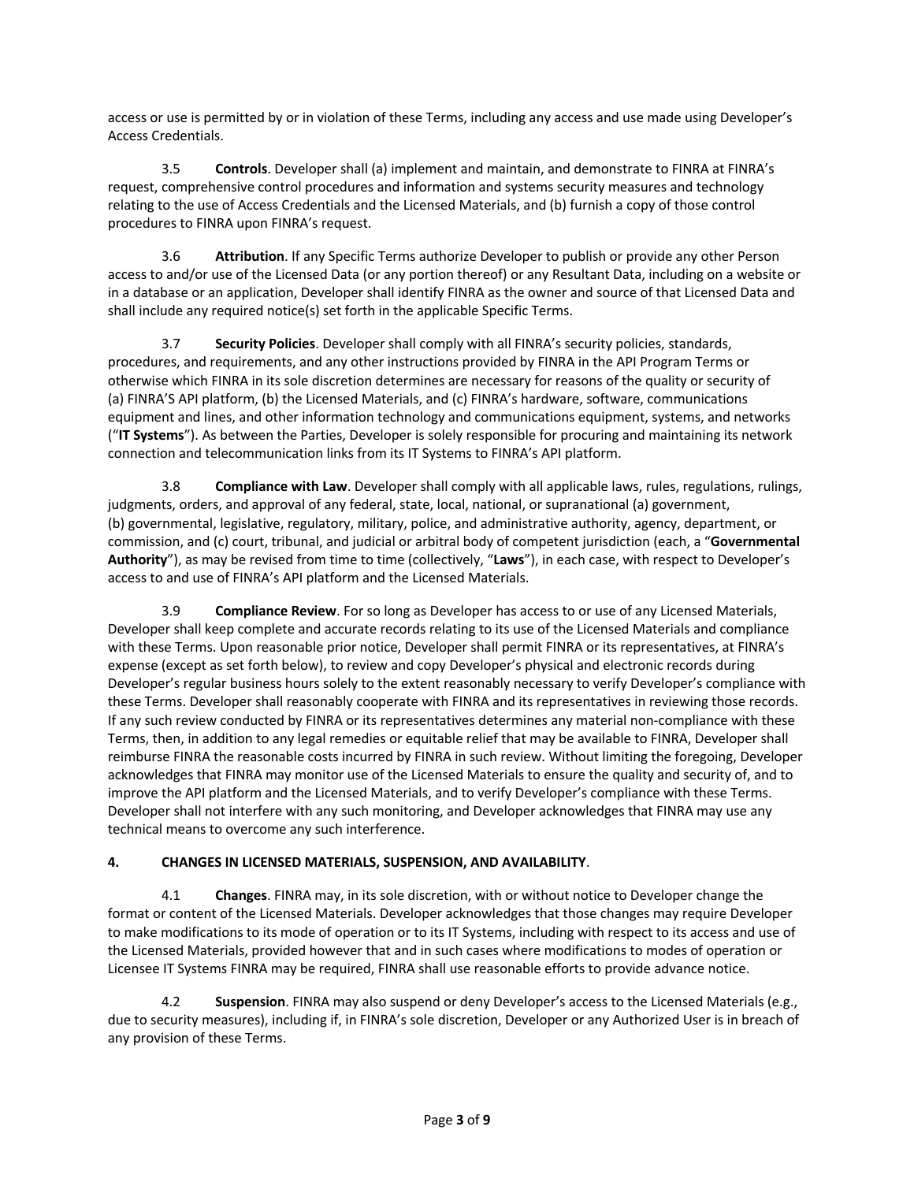access or use is permitted by or in violation of these Terms, including any access and use made using Developer's Access Credentials.

3.5 **Controls**. Developer shall (a) implement and maintain, and demonstrate to FINRA at FINRA's request, comprehensive control procedures and information and systems security measures and technology relating to the use of Access Credentials and the Licensed Materials, and (b) furnish a copy of those control procedures to FINRA upon FINRA's request.

3.6 **Attribution**. If any Specific Terms authorize Developer to publish or provide any other Person access to and/or use of the Licensed Data (or any portion thereof) or any Resultant Data, including on a website or in a database or an application, Developer shall identify FINRA as the owner and source of that Licensed Data and shall include any required notice(s) set forth in the applicable Specific Terms.

3.7 **Security Policies**. Developer shall comply with all FINRA's security policies, standards, procedures, and requirements, and any other instructions provided by FINRA in the API Program Terms or otherwise which FINRA in its sole discretion determines are necessary for reasons of the quality or security of (a) FINRA'S API platform, (b) the Licensed Materials, and (c) FINRA's hardware, software, communications equipment and lines, and other information technology and communications equipment, systems, and networks ("**IT Systems**"). As between the Parties, Developer is solely responsible for procuring and maintaining its network connection and telecommunication links from its IT Systems to FINRA's API platform.

3.8 **Compliance with Law**. Developer shall comply with all applicable laws, rules, regulations, rulings, judgments, orders, and approval of any federal, state, local, national, or supranational (a) government, (b) governmental, legislative, regulatory, military, police, and administrative authority, agency, department, or commission, and (c) court, tribunal, and judicial or arbitral body of competent jurisdiction (each, a "**Governmental Authority**"), as may be revised from time to time (collectively, "**Laws**"), in each case, with respect to Developer's access to and use of FINRA's API platform and the Licensed Materials.

3.9 **Compliance Review**. For so long as Developer has access to or use of any Licensed Materials, Developer shall keep complete and accurate records relating to its use of the Licensed Materials and compliance with these Terms. Upon reasonable prior notice, Developer shall permit FINRA or its representatives, at FINRA's expense (except as set forth below), to review and copy Developer's physical and electronic records during Developer's regular business hours solely to the extent reasonably necessary to verify Developer's compliance with these Terms. Developer shall reasonably cooperate with FINRA and its representatives in reviewing those records. If any such review conducted by FINRA or its representatives determines any material non-compliance with these Terms, then, in addition to any legal remedies or equitable relief that may be available to FINRA, Developer shall reimburse FINRA the reasonable costs incurred by FINRA in such review. Without limiting the foregoing, Developer acknowledges that FINRA may monitor use of the Licensed Materials to ensure the quality and security of, and to improve the API platform and the Licensed Materials, and to verify Developer's compliance with these Terms. Developer shall not interfere with any such monitoring, and Developer acknowledges that FINRA may use any technical means to overcome any such interference.

### **4. CHANGES IN LICENSED MATERIALS, SUSPENSION, AND AVAILABILITY**.

4.1 **Changes**. FINRA may, in its sole discretion, with or without notice to Developer change the format or content of the Licensed Materials. Developer acknowledges that those changes may require Developer to make modifications to its mode of operation or to its IT Systems, including with respect to its access and use of the Licensed Materials, provided however that and in such cases where modifications to modes of operation or Licensee IT Systems FINRA may be required, FINRA shall use reasonable efforts to provide advance notice.

4.2 **Suspension**. FINRA may also suspend or deny Developer's access to the Licensed Materials (e.g., due to security measures), including if, in FINRA's sole discretion, Developer or any Authorized User is in breach of any provision of these Terms.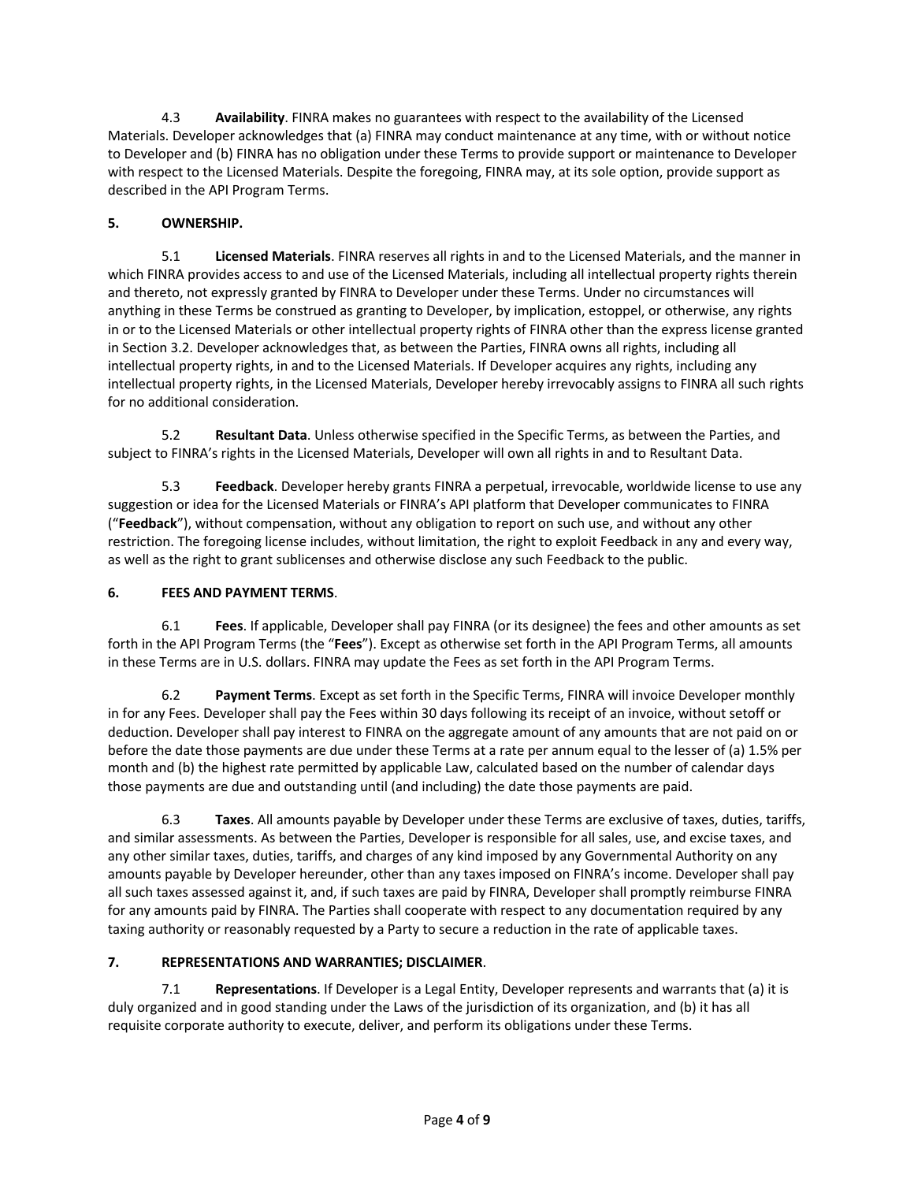4.3 **Availability**. FINRA makes no guarantees with respect to the availability of the Licensed Materials. Developer acknowledges that (a) FINRA may conduct maintenance at any time, with or without notice to Developer and (b) FINRA has no obligation under these Terms to provide support or maintenance to Developer with respect to the Licensed Materials. Despite the foregoing, FINRA may, at its sole option, provide support as described in the API Program Terms.

## **5. OWNERSHIP.**

5.1 **Licensed Materials**. FINRA reserves all rights in and to the Licensed Materials, and the manner in which FINRA provides access to and use of the Licensed Materials, including all intellectual property rights therein and thereto, not expressly granted by FINRA to Developer under these Terms. Under no circumstances will anything in these Terms be construed as granting to Developer, by implication, estoppel, or otherwise, any rights in or to the Licensed Materials or other intellectual property rights of FINRA other than the express license granted in Section 3.2. Developer acknowledges that, as between the Parties, FINRA owns all rights, including all intellectual property rights, in and to the Licensed Materials. If Developer acquires any rights, including any intellectual property rights, in the Licensed Materials, Developer hereby irrevocably assigns to FINRA all such rights for no additional consideration.

5.2 **Resultant Data**. Unless otherwise specified in the Specific Terms, as between the Parties, and subject to FINRA's rights in the Licensed Materials, Developer will own all rights in and to Resultant Data.

5.3 **Feedback**. Developer hereby grants FINRA a perpetual, irrevocable, worldwide license to use any suggestion or idea for the Licensed Materials or FINRA's API platform that Developer communicates to FINRA ("**Feedback**"), without compensation, without any obligation to report on such use, and without any other restriction. The foregoing license includes, without limitation, the right to exploit Feedback in any and every way, as well as the right to grant sublicenses and otherwise disclose any such Feedback to the public.

## **6. FEES AND PAYMENT TERMS**.

6.1 **Fees**. If applicable, Developer shall pay FINRA (or its designee) the fees and other amounts as set forth in the API Program Terms (the "**Fees**"). Except as otherwise set forth in the API Program Terms, all amounts in these Terms are in U.S. dollars. FINRA may update the Fees as set forth in the API Program Terms.

6.2 **Payment Terms**. Except as set forth in the Specific Terms, FINRA will invoice Developer monthly in for any Fees. Developer shall pay the Fees within 30 days following its receipt of an invoice, without setoff or deduction. Developer shall pay interest to FINRA on the aggregate amount of any amounts that are not paid on or before the date those payments are due under these Terms at a rate per annum equal to the lesser of (a) 1.5% per month and (b) the highest rate permitted by applicable Law, calculated based on the number of calendar days those payments are due and outstanding until (and including) the date those payments are paid.

6.3 **Taxes**. All amounts payable by Developer under these Terms are exclusive of taxes, duties, tariffs, and similar assessments. As between the Parties, Developer is responsible for all sales, use, and excise taxes, and any other similar taxes, duties, tariffs, and charges of any kind imposed by any Governmental Authority on any amounts payable by Developer hereunder, other than any taxes imposed on FINRA's income. Developer shall pay all such taxes assessed against it, and, if such taxes are paid by FINRA, Developer shall promptly reimburse FINRA for any amounts paid by FINRA. The Parties shall cooperate with respect to any documentation required by any taxing authority or reasonably requested by a Party to secure a reduction in the rate of applicable taxes.

## **7. REPRESENTATIONS AND WARRANTIES; DISCLAIMER**.

7.1 **Representations**. If Developer is a Legal Entity, Developer represents and warrants that (a) it is duly organized and in good standing under the Laws of the jurisdiction of its organization, and (b) it has all requisite corporate authority to execute, deliver, and perform its obligations under these Terms.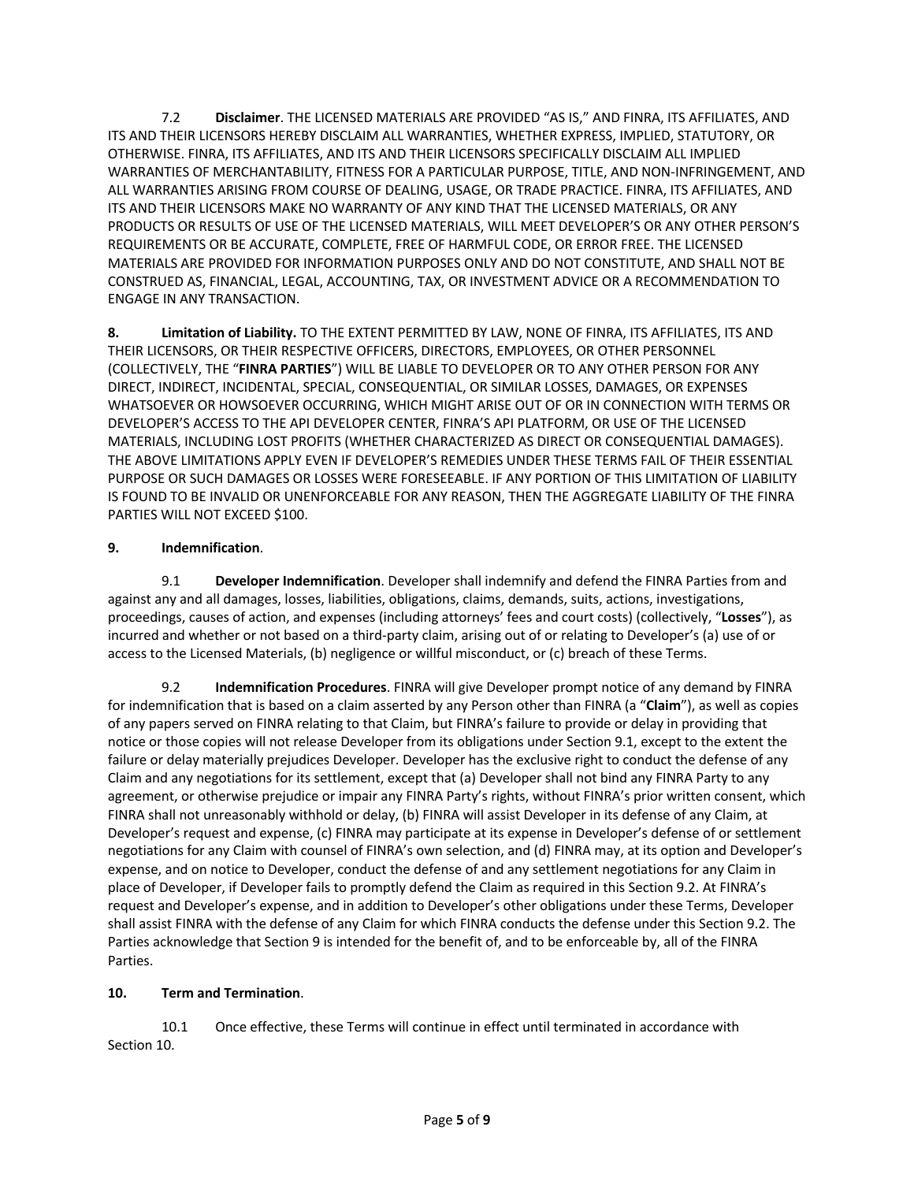7.2 **Disclaimer**. THE LICENSED MATERIALS ARE PROVIDED "AS IS," AND FINRA, ITS AFFILIATES, AND ITS AND THEIR LICENSORS HEREBY DISCLAIM ALL WARRANTIES, WHETHER EXPRESS, IMPLIED, STATUTORY, OR OTHERWISE. FINRA, ITS AFFILIATES, AND ITS AND THEIR LICENSORS SPECIFICALLY DISCLAIM ALL IMPLIED WARRANTIES OF MERCHANTABILITY, FITNESS FOR A PARTICULAR PURPOSE, TITLE, AND NON-INFRINGEMENT, AND ALL WARRANTIES ARISING FROM COURSE OF DEALING, USAGE, OR TRADE PRACTICE. FINRA, ITS AFFILIATES, AND ITS AND THEIR LICENSORS MAKE NO WARRANTY OF ANY KIND THAT THE LICENSED MATERIALS, OR ANY PRODUCTS OR RESULTS OF USE OF THE LICENSED MATERIALS, WILL MEET DEVELOPER'S OR ANY OTHER PERSON'S REQUIREMENTS OR BE ACCURATE, COMPLETE, FREE OF HARMFUL CODE, OR ERROR FREE. THE LICENSED MATERIALS ARE PROVIDED FOR INFORMATION PURPOSES ONLY AND DO NOT CONSTITUTE, AND SHALL NOT BE CONSTRUED AS, FINANCIAL, LEGAL, ACCOUNTING, TAX, OR INVESTMENT ADVICE OR A RECOMMENDATION TO ENGAGE IN ANY TRANSACTION.

**8. Limitation of Liability.** TO THE EXTENT PERMITTED BY LAW, NONE OF FINRA, ITS AFFILIATES, ITS AND THEIR LICENSORS, OR THEIR RESPECTIVE OFFICERS, DIRECTORS, EMPLOYEES, OR OTHER PERSONNEL (COLLECTIVELY, THE "**FINRA PARTIES**") WILL BE LIABLE TO DEVELOPER OR TO ANY OTHER PERSON FOR ANY DIRECT, INDIRECT, INCIDENTAL, SPECIAL, CONSEQUENTIAL, OR SIMILAR LOSSES, DAMAGES, OR EXPENSES WHATSOEVER OR HOWSOEVER OCCURRING, WHICH MIGHT ARISE OUT OF OR IN CONNECTION WITH TERMS OR DEVELOPER'S ACCESS TO THE API DEVELOPER CENTER, FINRA'S API PLATFORM, OR USE OF THE LICENSED MATERIALS, INCLUDING LOST PROFITS (WHETHER CHARACTERIZED AS DIRECT OR CONSEQUENTIAL DAMAGES). THE ABOVE LIMITATIONS APPLY EVEN IF DEVELOPER'S REMEDIES UNDER THESE TERMS FAIL OF THEIR ESSENTIAL PURPOSE OR SUCH DAMAGES OR LOSSES WERE FORESEEABLE. IF ANY PORTION OF THIS LIMITATION OF LIABILITY IS FOUND TO BE INVALID OR UNENFORCEABLE FOR ANY REASON, THEN THE AGGREGATE LIABILITY OF THE FINRA PARTIES WILL NOT EXCEED \$100.

### **9. Indemnification**.

9.1 **Developer Indemnification**. Developer shall indemnify and defend the FINRA Parties from and against any and all damages, losses, liabilities, obligations, claims, demands, suits, actions, investigations, proceedings, causes of action, and expenses (including attorneys' fees and court costs) (collectively, "**Losses**"), as incurred and whether or not based on a third-party claim, arising out of or relating to Developer's (a) use of or access to the Licensed Materials, (b) negligence or willful misconduct, or (c) breach of these Terms.

9.2 **Indemnification Procedures**. FINRA will give Developer prompt notice of any demand by FINRA for indemnification that is based on a claim asserted by any Person other than FINRA (a "**Claim**"), as well as copies of any papers served on FINRA relating to that Claim, but FINRA's failure to provide or delay in providing that notice or those copies will not release Developer from its obligations under Section 9.1, except to the extent the failure or delay materially prejudices Developer. Developer has the exclusive right to conduct the defense of any Claim and any negotiations for its settlement, except that (a) Developer shall not bind any FINRA Party to any agreement, or otherwise prejudice or impair any FINRA Party's rights, without FINRA's prior written consent, which FINRA shall not unreasonably withhold or delay, (b) FINRA will assist Developer in its defense of any Claim, at Developer's request and expense, (c) FINRA may participate at its expense in Developer's defense of or settlement negotiations for any Claim with counsel of FINRA's own selection, and (d) FINRA may, at its option and Developer's expense, and on notice to Developer, conduct the defense of and any settlement negotiations for any Claim in place of Developer, if Developer fails to promptly defend the Claim as required in this Section 9.2. At FINRA's request and Developer's expense, and in addition to Developer's other obligations under these Terms, Developer shall assist FINRA with the defense of any Claim for which FINRA conducts the defense under this Section 9.2. The Parties acknowledge that Section 9 is intended for the benefit of, and to be enforceable by, all of the FINRA Parties.

## **10. Term and Termination**.

10.1 Once effective, these Terms will continue in effect until terminated in accordance with Section 10.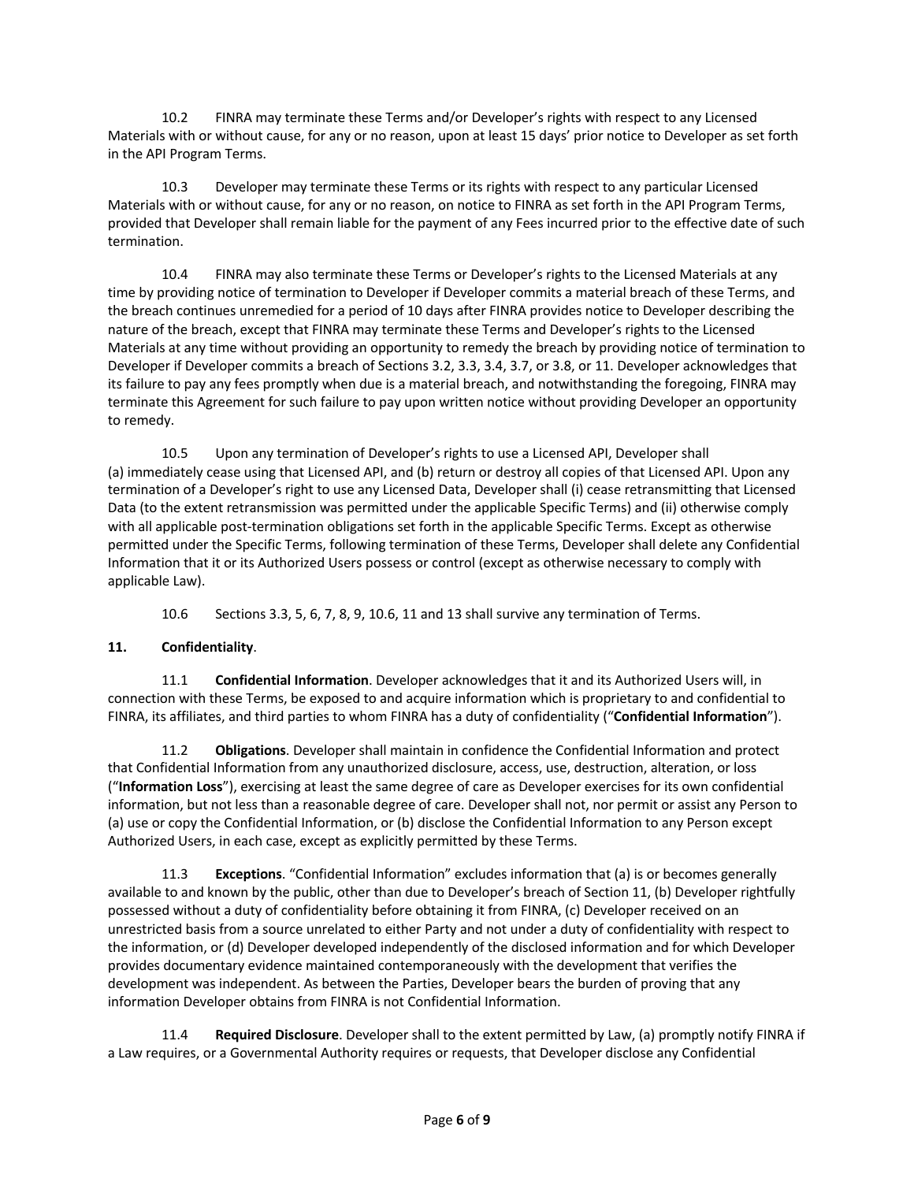10.2 FINRA may terminate these Terms and/or Developer's rights with respect to any Licensed Materials with or without cause, for any or no reason, upon at least 15 days' prior notice to Developer as set forth in the API Program Terms.

10.3 Developer may terminate these Terms or its rights with respect to any particular Licensed Materials with or without cause, for any or no reason, on notice to FINRA as set forth in the API Program Terms, provided that Developer shall remain liable for the payment of any Fees incurred prior to the effective date of such termination.

10.4 FINRA may also terminate these Terms or Developer's rights to the Licensed Materials at any time by providing notice of termination to Developer if Developer commits a material breach of these Terms, and the breach continues unremedied for a period of 10 days after FINRA provides notice to Developer describing the nature of the breach, except that FINRA may terminate these Terms and Developer's rights to the Licensed Materials at any time without providing an opportunity to remedy the breach by providing notice of termination to Developer if Developer commits a breach of Sections 3.2, 3.3, 3.4, 3.7, or 3.8, or 11. Developer acknowledges that its failure to pay any fees promptly when due is a material breach, and notwithstanding the foregoing, FINRA may terminate this Agreement for such failure to pay upon written notice without providing Developer an opportunity to remedy.

10.5 Upon any termination of Developer's rights to use a Licensed API, Developer shall (a) immediately cease using that Licensed API, and (b) return or destroy all copies of that Licensed API. Upon any termination of a Developer's right to use any Licensed Data, Developer shall (i) cease retransmitting that Licensed Data (to the extent retransmission was permitted under the applicable Specific Terms) and (ii) otherwise comply with all applicable post-termination obligations set forth in the applicable Specific Terms. Except as otherwise permitted under the Specific Terms, following termination of these Terms, Developer shall delete any Confidential Information that it or its Authorized Users possess or control (except as otherwise necessary to comply with applicable Law).

10.6 Sections 3.3, 5, 6, 7, 8, 9, 10.6, 11 and 13 shall survive any termination of Terms.

## **11. Confidentiality**.

11.1 **Confidential Information**. Developer acknowledges that it and its Authorized Users will, in connection with these Terms, be exposed to and acquire information which is proprietary to and confidential to FINRA, its affiliates, and third parties to whom FINRA has a duty of confidentiality ("**Confidential Information**").

11.2 **Obligations**. Developer shall maintain in confidence the Confidential Information and protect that Confidential Information from any unauthorized disclosure, access, use, destruction, alteration, or loss ("**Information Loss**"), exercising at least the same degree of care as Developer exercises for its own confidential information, but not less than a reasonable degree of care. Developer shall not, nor permit or assist any Person to (a) use or copy the Confidential Information, or (b) disclose the Confidential Information to any Person except Authorized Users, in each case, except as explicitly permitted by these Terms.

11.3 **Exceptions**. "Confidential Information" excludes information that (a) is or becomes generally available to and known by the public, other than due to Developer's breach of Section 11, (b) Developer rightfully possessed without a duty of confidentiality before obtaining it from FINRA, (c) Developer received on an unrestricted basis from a source unrelated to either Party and not under a duty of confidentiality with respect to the information, or (d) Developer developed independently of the disclosed information and for which Developer provides documentary evidence maintained contemporaneously with the development that verifies the development was independent. As between the Parties, Developer bears the burden of proving that any information Developer obtains from FINRA is not Confidential Information.

11.4 **Required Disclosure**. Developer shall to the extent permitted by Law, (a) promptly notify FINRA if a Law requires, or a Governmental Authority requires or requests, that Developer disclose any Confidential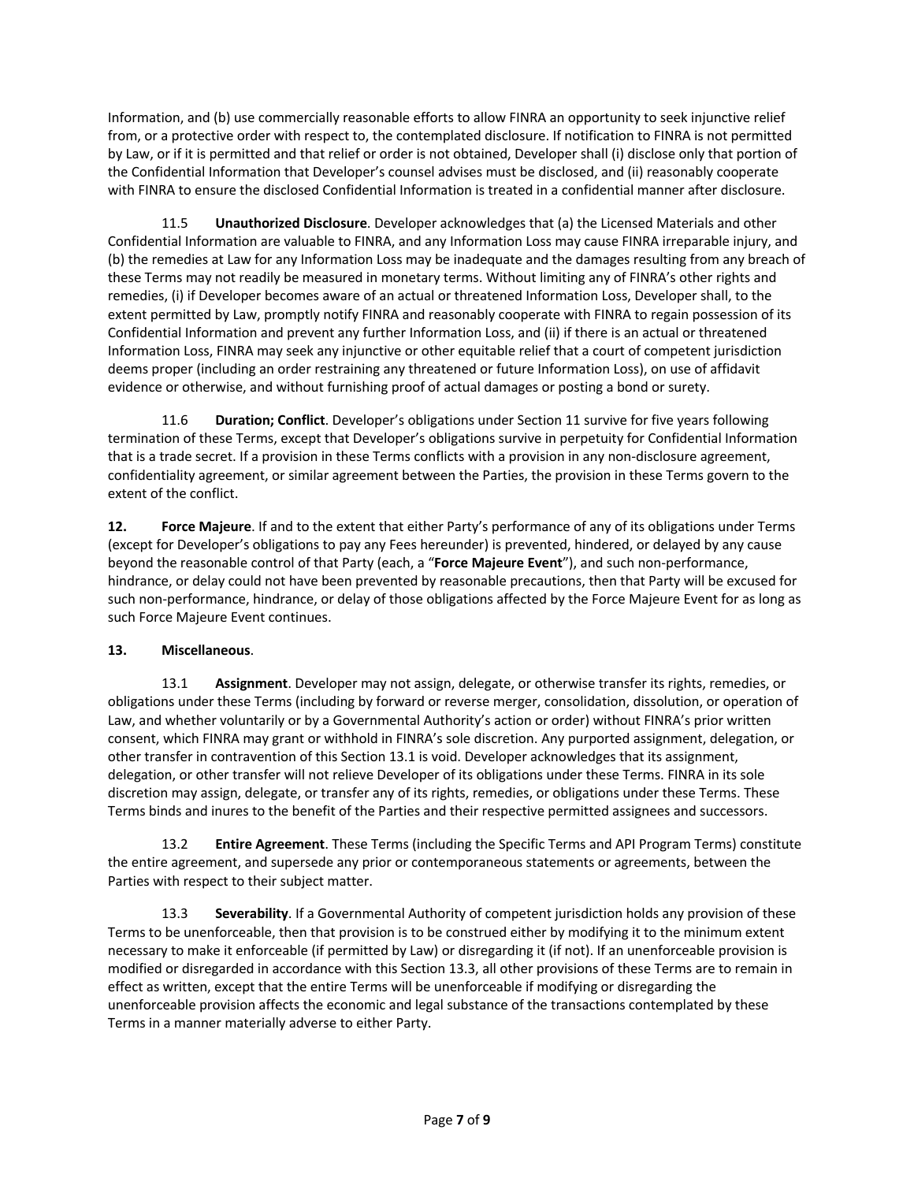Information, and (b) use commercially reasonable efforts to allow FINRA an opportunity to seek injunctive relief from, or a protective order with respect to, the contemplated disclosure. If notification to FINRA is not permitted by Law, or if it is permitted and that relief or order is not obtained, Developer shall (i) disclose only that portion of the Confidential Information that Developer's counsel advises must be disclosed, and (ii) reasonably cooperate with FINRA to ensure the disclosed Confidential Information is treated in a confidential manner after disclosure.

11.5 **Unauthorized Disclosure**. Developer acknowledges that (a) the Licensed Materials and other Confidential Information are valuable to FINRA, and any Information Loss may cause FINRA irreparable injury, and (b) the remedies at Law for any Information Loss may be inadequate and the damages resulting from any breach of these Terms may not readily be measured in monetary terms. Without limiting any of FINRA's other rights and remedies, (i) if Developer becomes aware of an actual or threatened Information Loss, Developer shall, to the extent permitted by Law, promptly notify FINRA and reasonably cooperate with FINRA to regain possession of its Confidential Information and prevent any further Information Loss, and (ii) if there is an actual or threatened Information Loss, FINRA may seek any injunctive or other equitable relief that a court of competent jurisdiction deems proper (including an order restraining any threatened or future Information Loss), on use of affidavit evidence or otherwise, and without furnishing proof of actual damages or posting a bond or surety.

11.6 **Duration; Conflict**. Developer's obligations under Section 11 survive for five years following termination of these Terms, except that Developer's obligations survive in perpetuity for Confidential Information that is a trade secret. If a provision in these Terms conflicts with a provision in any non-disclosure agreement, confidentiality agreement, or similar agreement between the Parties, the provision in these Terms govern to the extent of the conflict.

**12. Force Majeure**. If and to the extent that either Party's performance of any of its obligations under Terms (except for Developer's obligations to pay any Fees hereunder) is prevented, hindered, or delayed by any cause beyond the reasonable control of that Party (each, a "**Force Majeure Event**"), and such non-performance, hindrance, or delay could not have been prevented by reasonable precautions, then that Party will be excused for such non-performance, hindrance, or delay of those obligations affected by the Force Majeure Event for as long as such Force Majeure Event continues.

### **13. Miscellaneous**.

13.1 **Assignment**. Developer may not assign, delegate, or otherwise transfer its rights, remedies, or obligations under these Terms (including by forward or reverse merger, consolidation, dissolution, or operation of Law, and whether voluntarily or by a Governmental Authority's action or order) without FINRA's prior written consent, which FINRA may grant or withhold in FINRA's sole discretion. Any purported assignment, delegation, or other transfer in contravention of this Section 13.1 is void. Developer acknowledges that its assignment, delegation, or other transfer will not relieve Developer of its obligations under these Terms. FINRA in its sole discretion may assign, delegate, or transfer any of its rights, remedies, or obligations under these Terms. These Terms binds and inures to the benefit of the Parties and their respective permitted assignees and successors.

13.2 **Entire Agreement**. These Terms (including the Specific Terms and API Program Terms) constitute the entire agreement, and supersede any prior or contemporaneous statements or agreements, between the Parties with respect to their subject matter.

13.3 **Severability**. If a Governmental Authority of competent jurisdiction holds any provision of these Terms to be unenforceable, then that provision is to be construed either by modifying it to the minimum extent necessary to make it enforceable (if permitted by Law) or disregarding it (if not). If an unenforceable provision is modified or disregarded in accordance with this Section 13.3, all other provisions of these Terms are to remain in effect as written, except that the entire Terms will be unenforceable if modifying or disregarding the unenforceable provision affects the economic and legal substance of the transactions contemplated by these Terms in a manner materially adverse to either Party.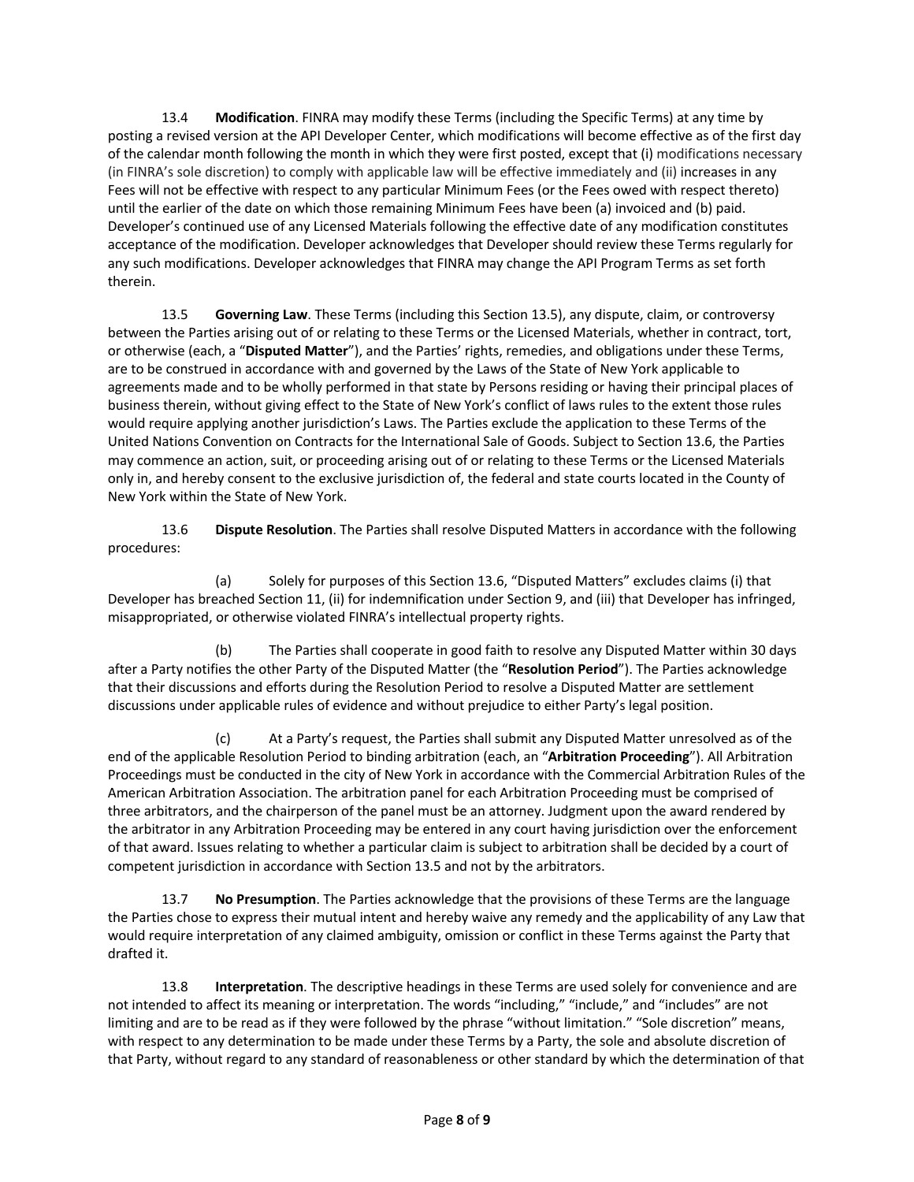13.4 **Modification**. FINRA may modify these Terms (including the Specific Terms) at any time by posting a revised version at the API Developer Center, which modifications will become effective as of the first day of the calendar month following the month in which they were first posted, except that (i) modifications necessary (in FINRA's sole discretion) to comply with applicable law will be effective immediately and (ii) increases in any Fees will not be effective with respect to any particular Minimum Fees (or the Fees owed with respect thereto) until the earlier of the date on which those remaining Minimum Fees have been (a) invoiced and (b) paid. Developer's continued use of any Licensed Materials following the effective date of any modification constitutes acceptance of the modification. Developer acknowledges that Developer should review these Terms regularly for any such modifications. Developer acknowledges that FINRA may change the API Program Terms as set forth therein.

13.5 **Governing Law**. These Terms (including this Section 13.5), any dispute, claim, or controversy between the Parties arising out of or relating to these Terms or the Licensed Materials, whether in contract, tort, or otherwise (each, a "**Disputed Matter**"), and the Parties' rights, remedies, and obligations under these Terms, are to be construed in accordance with and governed by the Laws of the State of New York applicable to agreements made and to be wholly performed in that state by Persons residing or having their principal places of business therein, without giving effect to the State of New York's conflict of laws rules to the extent those rules would require applying another jurisdiction's Laws. The Parties exclude the application to these Terms of the United Nations Convention on Contracts for the International Sale of Goods. Subject to Section 13.6, the Parties may commence an action, suit, or proceeding arising out of or relating to these Terms or the Licensed Materials only in, and hereby consent to the exclusive jurisdiction of, the federal and state courts located in the County of New York within the State of New York.

13.6 **Dispute Resolution**. The Parties shall resolve Disputed Matters in accordance with the following procedures:

(a) Solely for purposes of this Section 13.6, "Disputed Matters" excludes claims (i) that Developer has breached Section 11, (ii) for indemnification under Section 9, and (iii) that Developer has infringed, misappropriated, or otherwise violated FINRA's intellectual property rights.

(b) The Parties shall cooperate in good faith to resolve any Disputed Matter within 30 days after a Party notifies the other Party of the Disputed Matter (the "**Resolution Period**"). The Parties acknowledge that their discussions and efforts during the Resolution Period to resolve a Disputed Matter are settlement discussions under applicable rules of evidence and without prejudice to either Party's legal position.

(c) At a Party's request, the Parties shall submit any Disputed Matter unresolved as of the end of the applicable Resolution Period to binding arbitration (each, an "**Arbitration Proceeding**"). All Arbitration Proceedings must be conducted in the city of New York in accordance with the Commercial Arbitration Rules of the American Arbitration Association. The arbitration panel for each Arbitration Proceeding must be comprised of three arbitrators, and the chairperson of the panel must be an attorney. Judgment upon the award rendered by the arbitrator in any Arbitration Proceeding may be entered in any court having jurisdiction over the enforcement of that award. Issues relating to whether a particular claim is subject to arbitration shall be decided by a court of competent jurisdiction in accordance with Section 13.5 and not by the arbitrators.

13.7 **No Presumption**. The Parties acknowledge that the provisions of these Terms are the language the Parties chose to express their mutual intent and hereby waive any remedy and the applicability of any Law that would require interpretation of any claimed ambiguity, omission or conflict in these Terms against the Party that drafted it.

13.8 **Interpretation**. The descriptive headings in these Terms are used solely for convenience and are not intended to affect its meaning or interpretation. The words "including," "include," and "includes" are not limiting and are to be read as if they were followed by the phrase "without limitation." "Sole discretion" means, with respect to any determination to be made under these Terms by a Party, the sole and absolute discretion of that Party, without regard to any standard of reasonableness or other standard by which the determination of that